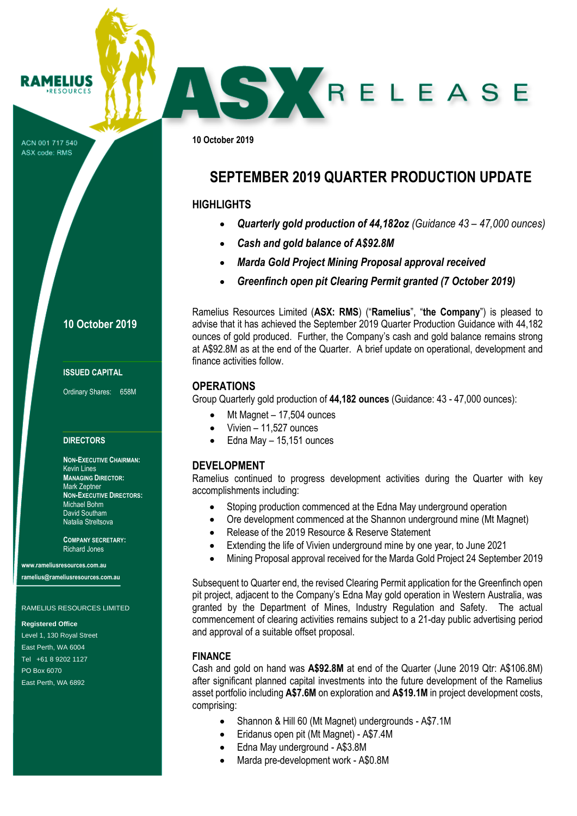ACN 001 717 540 ASX code: RMS

**RAMELIUS RESOURCES** 

## **10 October 2019**

#### **ISSUED CAPITAL**

Ordinary Shares: 658M

#### **DIRECTORS**

**NON-EXECUTIVE CHAIRMAN:** Kevin Lines **MANAGING DIRECTOR:** Mark Zeptner **NON-EXECUTIVE DIRECTORS:** Michael Bohm David Southam Natalia Streltsova

**COMPANY SECRETARY:** Richard Jones

**www.rameliusresources.com.au ramelius@rameliusresources.com.au**

#### RAMELIUS RESOURCES LIMITED

#### **Registered Office**

Level 1, 130 Royal Street East Perth, WA 6004 Tel +61 8 9202 1127 PO Box 6070 East Perth, WA 6892

ounces of gold produced. Further, the Company's cash and gold balance remains strong at A\$92.8M as at the end of the Quarter. A brief update on operational, development and finance activities follow.

## **OPERATIONS**

Group Quarterly gold production of **44,182 ounces** (Guidance: 43 - 47,000 ounces):

- Mt Magnet 17,504 ounces
- $\bullet$  Vivien 11,527 ounces
- Edna May 15,151 ounces

## **DEVELOPMENT**

Ramelius continued to progress development activities during the Quarter with key accomplishments including:

- Stoping production commenced at the Edna May underground operation
- Ore development commenced at the Shannon underground mine (Mt Magnet)
- Release of the 2019 Resource & Reserve Statement
- Extending the life of Vivien underground mine by one year, to June 2021
- Mining Proposal approval received for the Marda Gold Project 24 September 2019

Subsequent to Quarter end, the revised Clearing Permit application for the Greenfinch open pit project, adjacent to the Company's Edna May gold operation in Western Australia, was granted by the Department of Mines, Industry Regulation and Safety. The actual commencement of clearing activities remains subject to a 21-day public advertising period and approval of a suitable offset proposal.

### **FINANCE**

Cash and gold on hand was **A\$92.8M** at end of the Quarter (June 2019 Qtr: A\$106.8M) after significant planned capital investments into the future development of the Ramelius asset portfolio including **A\$7.6M** on exploration and **A\$19.1M** in project development costs, comprising:

- Shannon & Hill 60 (Mt Magnet) undergrounds A\$7.1M
- Eridanus open pit (Mt Magnet) A\$7.4M
- Edna May underground A\$3.8M
- Marda pre-development work A\$0.8M

# **SEPTEMBER 2019 QUARTER PRODUCTION UPDATE**

SKRELEASE

## **HIGHLIGHTS**

**10 October 2019**

- *Quarterly gold production of 44,182oz (Guidance 43 – 47,000 ounces)*
- *Cash and gold balance of A\$92.8M*
- *Marda Gold Project Mining Proposal approval received*
- *Greenfinch open pit Clearing Permit granted (7 October 2019)*

Ramelius Resources Limited (**ASX: RMS**) ("**Ramelius**", "**the Company**") is pleased to advise that it has achieved the September 2019 Quarter Production Guidance with 44,182